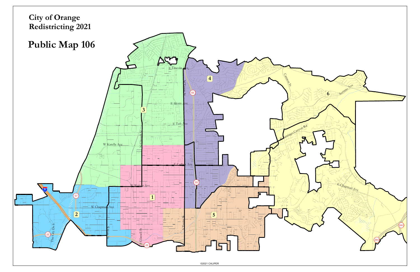